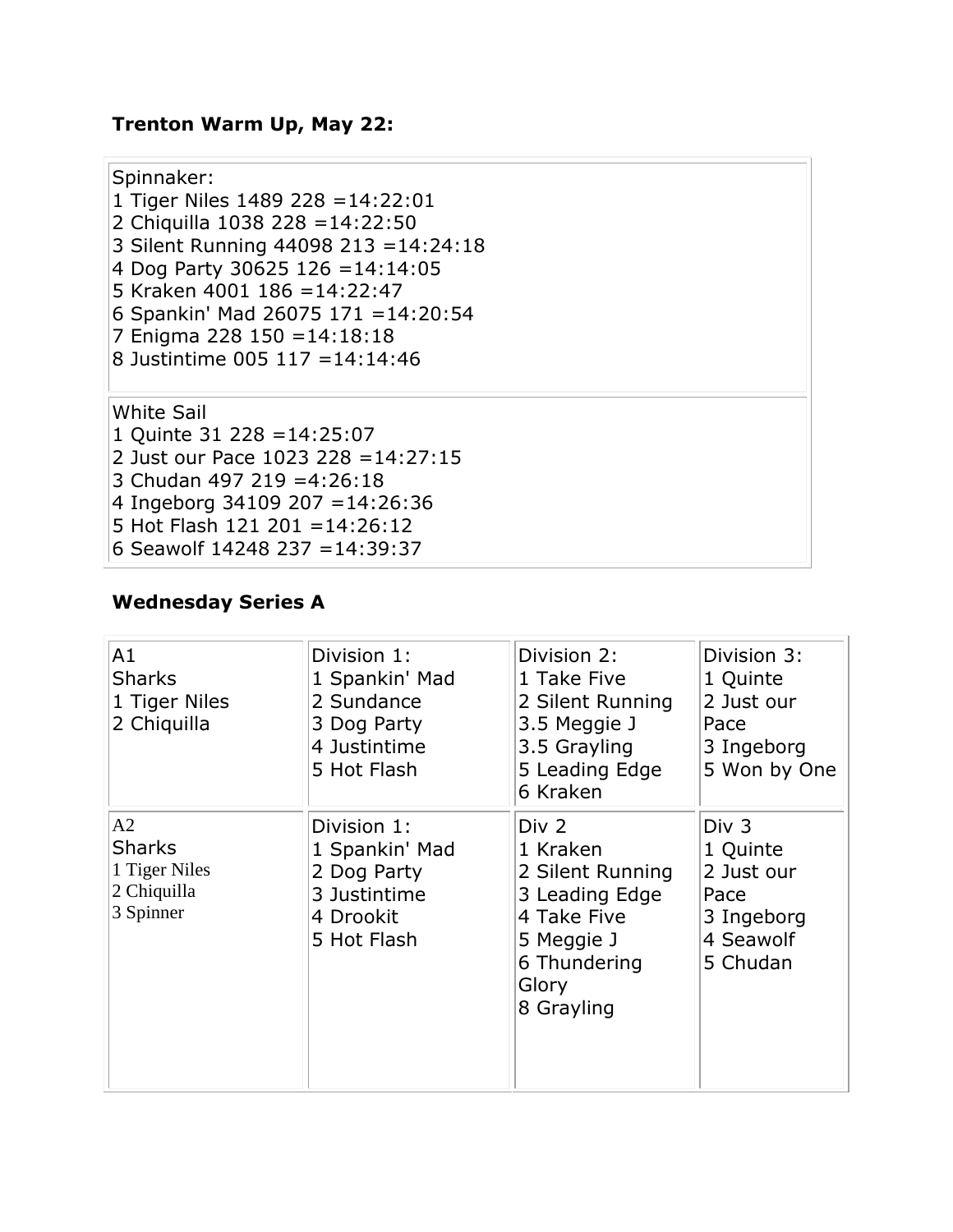# **Trenton Warm Up, May 22:**

| Spinnaker:<br>1 Tiger Niles 1489 228 = $14:22:01$<br>2 Chiquilla 1038 228 = 14:22:50<br>3 Silent Running 44098 213 = 14:24:18<br>4 Dog Party 30625 126 = 14:14:05<br>5 Kraken 4001 186 = 14:22:47<br>6 Spankin' Mad 26075 171 = 14:20:54<br>7 Enigma 228 150 = 14:18:18<br>8 Justintime 005 117 = 14:14:46 |  |
|------------------------------------------------------------------------------------------------------------------------------------------------------------------------------------------------------------------------------------------------------------------------------------------------------------|--|
| <b>White Sail</b><br>1 Quinte 31 228 = $14:25:07$<br>2 Just our Pace 1023 228 = $14:27:15$<br>3 Chudan 497 219 = 4:26:18<br>4 Ingeborg 34109 207 = 14:26:36<br>5 Hot Flash 121 201 = $14:26:12$<br>6 Seawolf 14248 237 = 14:39:37                                                                          |  |

## **Wednesday Series A**

| A1<br><b>Sharks</b><br>1 Tiger Niles<br>2 Chiquilla              | Division 1:<br>1 Spankin' Mad<br>2 Sundance<br>3 Dog Party<br>4 Justintime<br>5 Hot Flash | Division 2:<br>1 Take Five<br>2 Silent Running<br>3.5 Meggie J<br>3.5 Grayling<br>5 Leading Edge<br>6 Kraken                | Division 3:<br>1 Quinte<br>2 Just our<br>Pace<br>3 Ingeborg<br>5 Won by One    |
|------------------------------------------------------------------|-------------------------------------------------------------------------------------------|-----------------------------------------------------------------------------------------------------------------------------|--------------------------------------------------------------------------------|
| A2<br><b>Sharks</b><br>1 Tiger Niles<br>2 Chiquilla<br>3 Spinner | Division 1:<br>1 Spankin' Mad<br>2 Dog Party<br>3 Justintime<br>4 Drookit<br>5 Hot Flash  | Div 2<br>1 Kraken<br>2 Silent Running<br>3 Leading Edge<br>4 Take Five<br>5 Meggie J<br>6 Thundering<br>Glory<br>8 Grayling | Div 3<br>1 Quinte<br>2 Just our<br>Pace<br>3 Ingeborg<br>4 Seawolf<br>5 Chudan |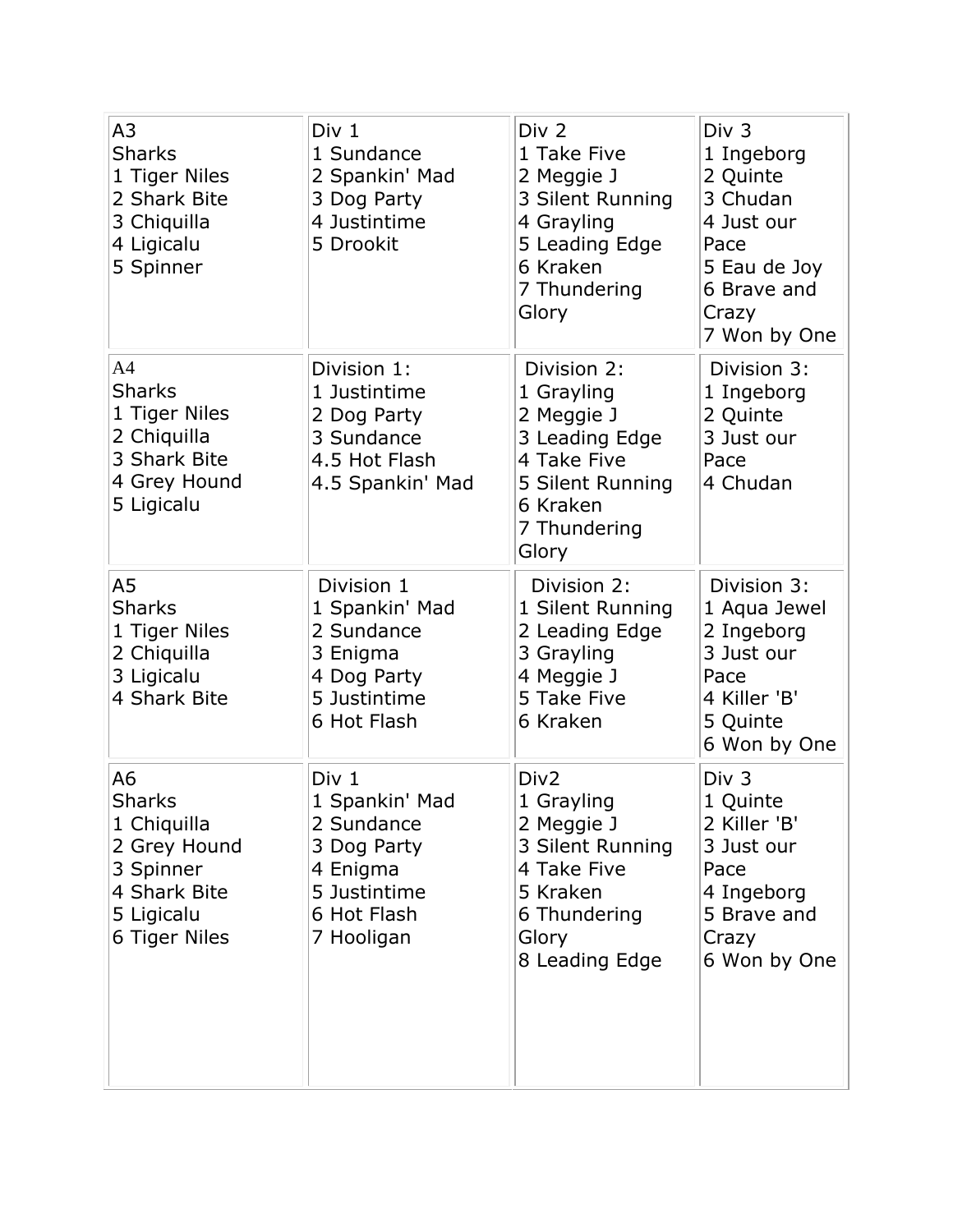| A3<br><b>Sharks</b><br>1 Tiger Niles<br>2 Shark Bite<br>3 Chiquilla<br>4 Ligicalu<br>5 Spinner                 | Div 1<br>1 Sundance<br>2 Spankin' Mad<br>3 Dog Party<br>4 Justintime<br>5 Drookit                             | Div <sub>2</sub><br>1 Take Five<br>2 Meggie J<br>3 Silent Running<br>4 Grayling<br>5 Leading Edge<br>6 Kraken<br>7 Thundering<br>Glory | Div <sub>3</sub><br>1 Ingeborg<br>2 Quinte<br>3 Chudan<br>4 Just our<br>Pace<br>5 Eau de Joy<br>6 Brave and<br>Crazy<br>7 Won by One |
|----------------------------------------------------------------------------------------------------------------|---------------------------------------------------------------------------------------------------------------|----------------------------------------------------------------------------------------------------------------------------------------|--------------------------------------------------------------------------------------------------------------------------------------|
| A <sub>4</sub><br><b>Sharks</b><br>1 Tiger Niles<br>2 Chiquilla<br>3 Shark Bite<br>4 Grey Hound<br>5 Ligicalu  | Division 1:<br>1 Justintime<br>2 Dog Party<br>3 Sundance<br>4.5 Hot Flash<br>4.5 Spankin' Mad                 | Division 2:<br>1 Grayling<br>2 Meggie J<br>3 Leading Edge<br>4 Take Five<br>5 Silent Running<br>6 Kraken<br>7 Thundering<br>Glory      | Division 3:<br>1 Ingeborg<br>2 Quinte<br>3 Just our<br>Pace<br>4 Chudan                                                              |
| A5<br><b>Sharks</b><br>1 Tiger Niles<br>2 Chiquilla<br>3 Ligicalu<br>4 Shark Bite                              | Division 1<br>1 Spankin' Mad<br>2 Sundance<br>3 Enigma<br>4 Dog Party<br>5 Justintime<br>6 Hot Flash          | Division 2:<br>1 Silent Running<br>2 Leading Edge<br>3 Grayling<br>4 Meggie J<br>5 Take Five<br>6 Kraken                               | Division 3:<br>1 Aqua Jewel<br>2 Ingeborg<br>3 Just our<br>Pace<br>4 Killer 'B'<br>5 Quinte<br>6 Won by One                          |
| A6<br><b>Sharks</b><br>1 Chiquilla<br>2 Grey Hound<br>3 Spinner<br>4 Shark Bite<br>5 Ligicalu<br>6 Tiger Niles | Div 1<br>1 Spankin' Mad<br>2 Sundance<br>3 Dog Party<br>4 Enigma<br>5 Justintime<br>6 Hot Flash<br>7 Hooligan | Div <sub>2</sub><br>1 Grayling<br>2 Meggie J<br>3 Silent Running<br>4 Take Five<br>5 Kraken<br>6 Thundering<br>Glory<br>8 Leading Edge | Div <sub>3</sub><br>1 Quinte<br>2 Killer 'B'<br>3 Just our<br>Pace<br>4 Ingeborg<br>5 Brave and<br>Crazy<br>6 Won by One             |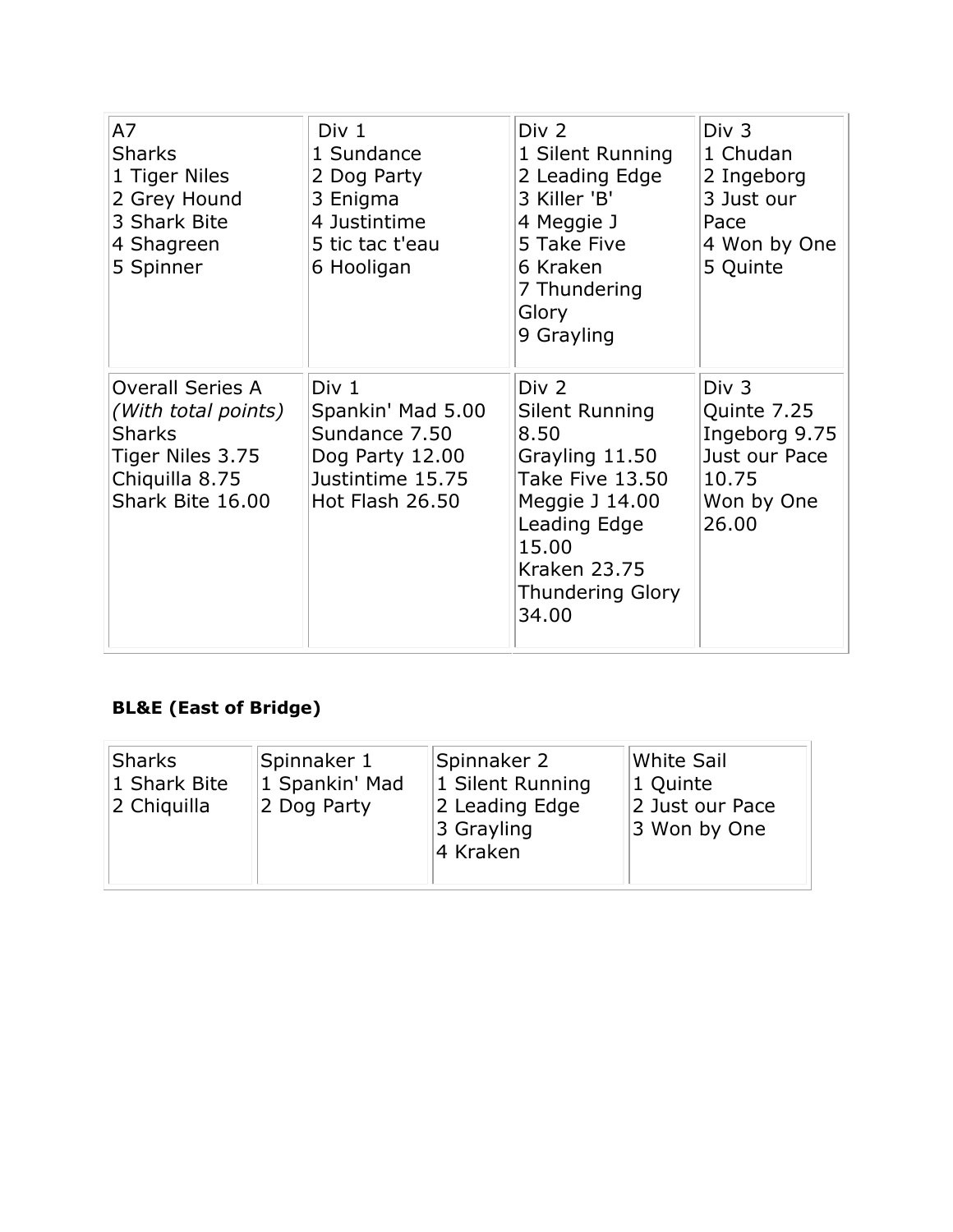| A7<br><b>Sharks</b><br>1 Tiger Niles<br>2 Grey Hound<br>3 Shark Bite<br>4 Shagreen<br>5 Spinner                           | Div 1<br>1 Sundance<br>2 Dog Party<br>3 Enigma<br>4 Justintime<br>5 tic tac t'eau<br>6 Hooligan                  | Div <sub>2</sub><br>1 Silent Running<br>2 Leading Edge<br>3 Killer 'B'<br>4 Meggie J<br>5 Take Five<br>6 Kraken<br>7 Thundering<br>Glory<br>9 Grayling                     | Div <sub>3</sub><br>1 Chudan<br>2 Ingeborg<br>3 Just our<br>Pace<br>4 Won by One<br>5 Quinte |
|---------------------------------------------------------------------------------------------------------------------------|------------------------------------------------------------------------------------------------------------------|----------------------------------------------------------------------------------------------------------------------------------------------------------------------------|----------------------------------------------------------------------------------------------|
| <b>Overall Series A</b><br>(With total points)<br><b>Sharks</b><br>Tiger Niles 3.75<br>Chiquilla 8.75<br>Shark Bite 16.00 | Div <sub>1</sub><br>Spankin' Mad 5.00<br>Sundance 7.50<br>Dog Party 12.00<br>Justintime 15.75<br>Hot Flash 26.50 | Div 2<br>Silent Running<br>8.50<br>Grayling 11.50<br>Take Five 13.50<br>Meggie J 14.00<br>Leading Edge<br>15.00<br><b>Kraken 23.75</b><br><b>Thundering Glory</b><br>34.00 | Div 3<br>Quinte 7.25<br>Ingeborg 9.75<br>Just our Pace<br>10.75<br>Won by One<br>26.00       |

# **BL&E (East of Bridge)**

| <b>Sharks</b><br>Spinnaker 1<br>1 Spankin' Mad<br>1 Shark Bite<br>2 Dog Party<br>2 Chiquilla | Spinnaker 2<br>1 Silent Running<br>2 Leading Edge<br>3 Grayling<br>4 Kraken | White Sail<br>1 Quinte<br>2 Just our Pace<br>3 Won by One |
|----------------------------------------------------------------------------------------------|-----------------------------------------------------------------------------|-----------------------------------------------------------|
|----------------------------------------------------------------------------------------------|-----------------------------------------------------------------------------|-----------------------------------------------------------|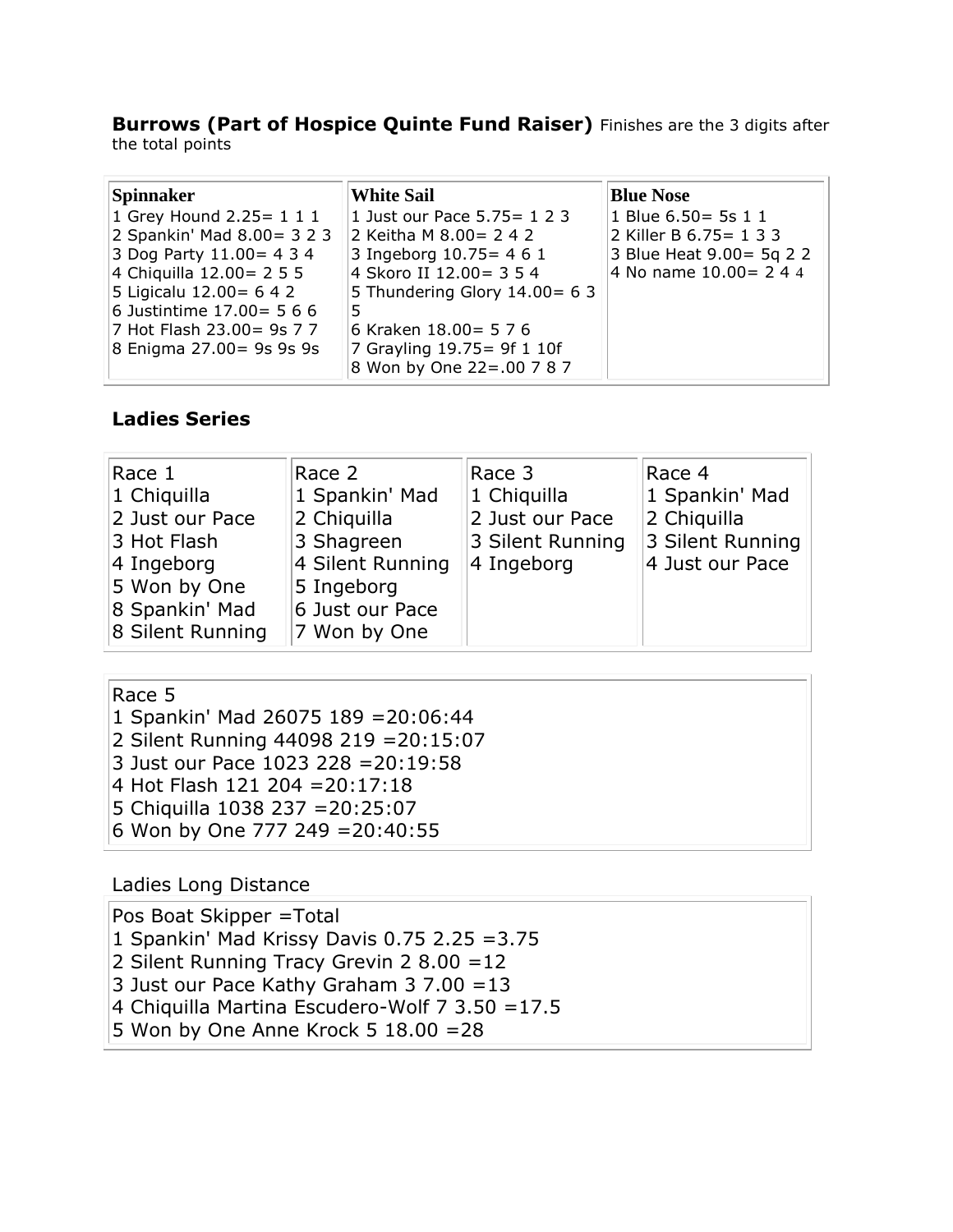#### **Burrows (Part of Hospice Quinte Fund Raiser)** Finishes are the 3 digits after the total points

| Spinnaker                     | <b>White Sail</b>               | <b>Blue Nose</b>          |
|-------------------------------|---------------------------------|---------------------------|
| 1 Grey Hound 2.25 = $1\ 1\ 1$ | 1 Just our Pace 5.75 = 1 2 3    | 1 Blue 6.50 = 5s 1 1      |
| 2 Spankin' Mad 8.00 = 3 2 3   | 2 Keitha M 8.00 = 2 4 2         | 2 Killer B 6.75 = 1 3 3   |
| 3 Dog Party $11.00 = 434$     | 3 Ingeborg 10.75 = 4 6 1        | 3 Blue Heat 9.00 = 5q 2 2 |
| 4 Chiquilla 12.00 = 2 5 5     | 4 Skoro II 12.00 = 3 5 4        | 4 No name 10.00 = 2 4 4   |
| 5 Ligicalu 12.00 = 6 4 2      | 5 Thundering Glory $14.00 = 63$ |                           |
| 6 Justintime $17.00 = 566$    |                                 |                           |
| 7 Hot Flash 23.00 = 9s 7 7    | 6 Kraken 18.00 = 5 7 6          |                           |
| 8 Enigma 27.00 = 9s 9s 9s     | 7 Grayling 19.75 = 9f 1 10f     |                           |
|                               | 8 Won by One 22 = .00 7 8 7     |                           |

### **Ladies Series**

| Race 1                 | Race 2           | Race 3           | Race 4           |
|------------------------|------------------|------------------|------------------|
| $ 1 \rangle$ Chiquilla | 1 Spankin' Mad   | 1 Chiquilla      | 1 Spankin' Mad   |
| 2 Just our Pace        | 2 Chiquilla      | 2 Just our Pace  | 2 Chiquilla      |
| 3 Hot Flash            | 3 Shagreen       | 3 Silent Running | 3 Silent Running |
| $ 4 \text{ Ingeborg} $ | 4 Silent Running | 4 Ingeborg       | 4 Just our Pace  |
| 5 Won by One           | 5 Ingeborg       |                  |                  |
| 8 Spankin' Mad         | 6 Just our Pace  |                  |                  |
| 8 Silent Running       | 7 Won by One     |                  |                  |

## Race 5

| ט טאוו                                |  |
|---------------------------------------|--|
| 1 Spankin' Mad 26075 189 = 20:06:44   |  |
| 2 Silent Running 44098 219 = 20:15:07 |  |
| 3 Just our Pace 1023 228 = 20:19:58   |  |
| 4 Hot Flash 121 204 = 20:17:18        |  |
| 5 Chiquilla 1038 237 = 20: 25: 07     |  |
| 6 Won by One 777 249 = 20:40:55       |  |
|                                       |  |

### Ladies Long Distance

| Pos Boat Skipper = Total                               |  |
|--------------------------------------------------------|--|
| 1 Spankin' Mad Krissy Davis 0.75 2.25 = 3.75           |  |
| 2 Silent Running Tracy Grevin 2 8.00 = $12$            |  |
| 3 Just our Pace Kathy Graham 3 7.00 = 13               |  |
| 4 Chiquilla Martina Escudero-Wolf $7 \frac{3.50}{7.5}$ |  |
| 5 Won by One Anne Krock 5 $18.00 = 28$                 |  |
|                                                        |  |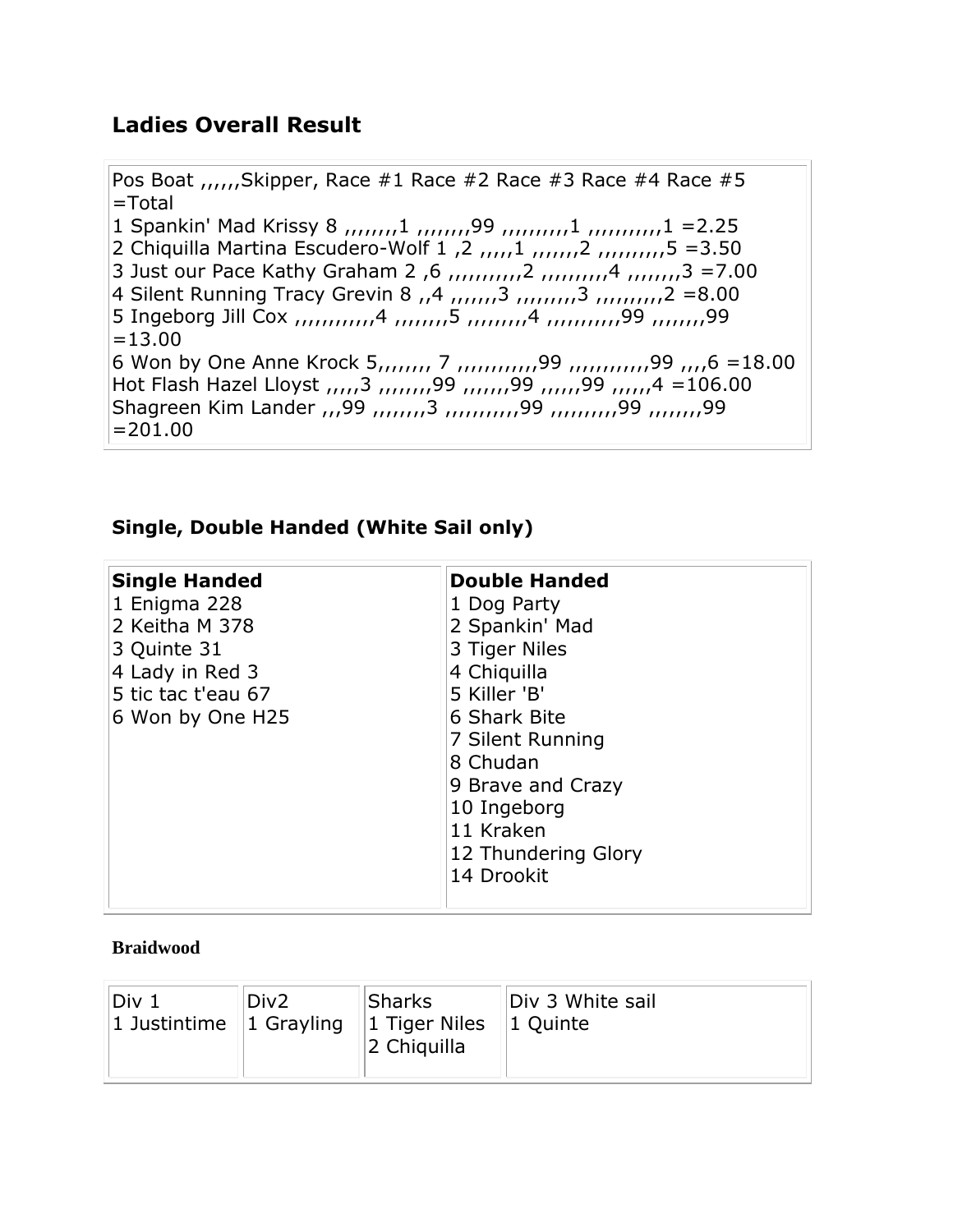## **Ladies Overall Result**

Pos Boat  $_{(1,1)}$ Skipper, Race #1 Race #2 Race #3 Race #4 Race #5 =Total 1 Spankin' Mad Krissy 8  $_{11}$ , $_{21}$ , $_{32}$   $_{41}$ , $_{42}$ , $_{43}$ , $_{45}$ , $_{46}$ , $_{47}$ , $_{47}$ , $_{48}$ , $_{49}$ , $_{40}$ , $_{41}$ , $_{42}$ , $_{45}$ , $_{47}$ , $_{48}$ , $_{49}$ , $_{40}$ , $_{47}$ , $_{47}$ , $_{47}$ , $_{47}$ , $_{47}$ , $_{47}$ , $_{48}$ , $_{49}$ ,2 Chiquilla Martina Escudero-Wolf 1 ,2 ,,,,,1 ,,,,,,,2 ,,,,,,,,,,5 =3.50 3 Just our Pace Kathy Graham 2 ,6 ,,,,,,,,,,,2 ,,,,,,,,,,4 ,,,,,,,,3 =7.00 4 Silent Running Tracy Grevin 8 , 4 , 1, 1, 1, 3 , 1, 1, 1, 1, 1, 1, 2 = 8.00 5 Ingeborg Jill Cox ,,,,,,,,,,,,4 ,,,,,,,,5 ,,,,,,,,,4 ,,,,,,,,,,,99 ,,,,,,,,99  $=13.00$ 6 Won by One Anne Krock 5,,,,,,,, 7 ,,,,,,,,,,,,99 ,,,,,,,,,,,,99 ,,,,6 =18.00 Hot Flash Hazel Lloyst ,,,,,3 ,,,,,,,,99 ,,,,,,,99 ,,,,,,99 ,,,,,,4 =106.00 Shagreen Kim Lander ,,,99 ,,,,,,,,3 ,,,,,,,,,,,99 ,,,,,,,,,,99 ,,,,,,,,99  $=201.00$ 

### **Single, Double Handed (White Sail only)**

| <b>Single Handed</b> | <b>Double Handed</b> |
|----------------------|----------------------|
| 1 Enigma 228         | 1 Dog Party          |
| 2 Keitha M 378       | 2 Spankin' Mad       |
|                      |                      |
| 3 Quinte 31          | 3 Tiger Niles        |
| 4 Lady in Red 3      | 4 Chiquilla          |
| 5 tic tac t'eau 67   | 5 Killer 'B'         |
| 6 Won by One H25     | 6 Shark Bite         |
|                      | 7 Silent Running     |
|                      | 8 Chudan             |
|                      | 9 Brave and Crazy    |
|                      | 10 Ingeborg          |
|                      | 11 Kraken            |
|                      | 12 Thundering Glory  |
|                      | 14 Drookit           |
|                      |                      |

#### **Braidwood**

| Div <sub>1</sub><br>Div <sub>2</sub><br>1 Justintime $  1 \text{ Grayling}  $ | <b>Sharks</b><br>$\vert$ 1 Tiger Niles $\vert$ 1 Quinte<br>2 Chiquilla | Div 3 White sail |  |
|-------------------------------------------------------------------------------|------------------------------------------------------------------------|------------------|--|
|-------------------------------------------------------------------------------|------------------------------------------------------------------------|------------------|--|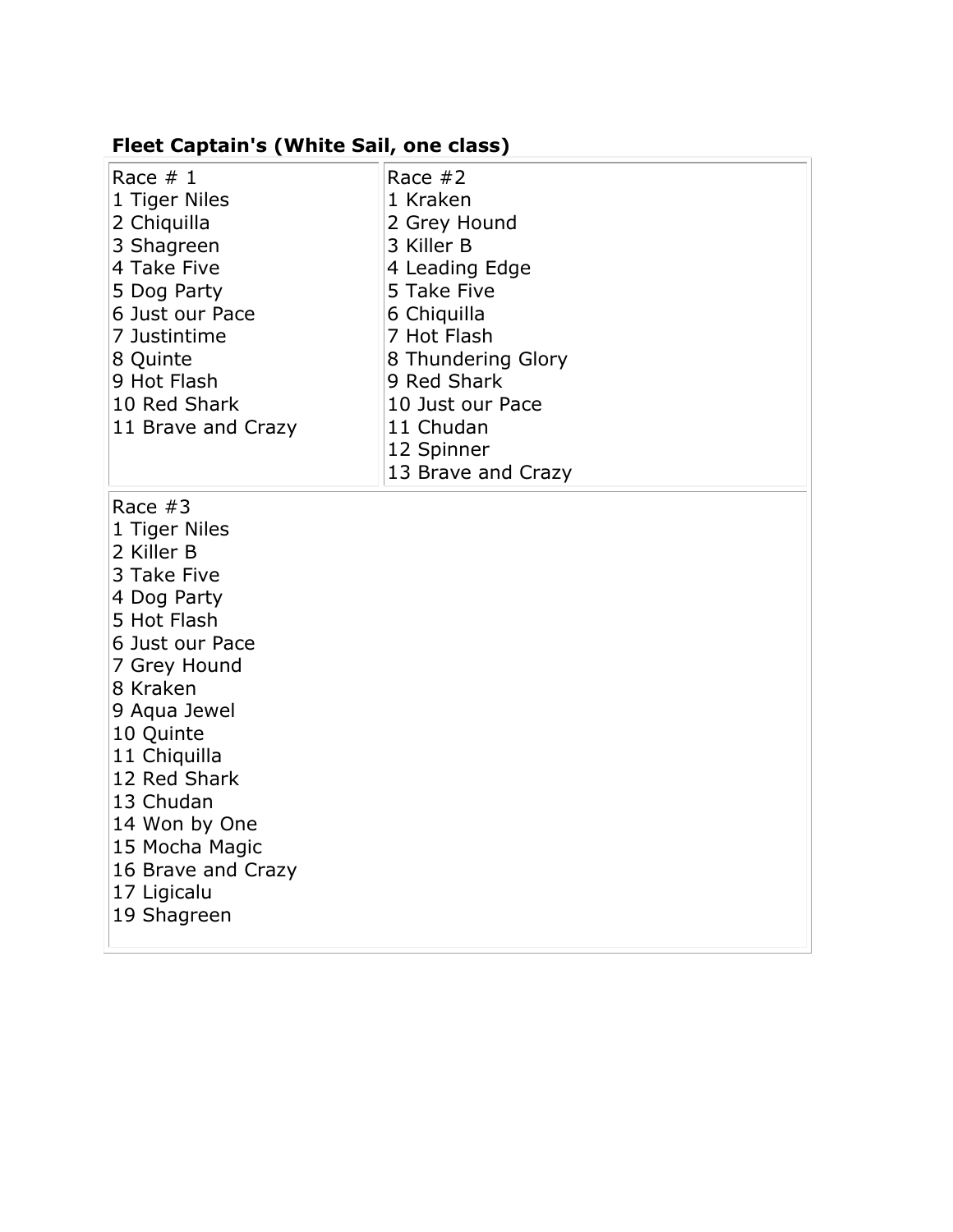#### **Fleet Captain's (White Sail, one class)**

| Race $# 1$<br>1 Tiger Niles<br>2 Chiquilla<br>3 Shagreen<br>4 Take Five<br>5 Dog Party<br>6 Just our Pace<br>7 Justintime<br>8 Quinte<br>9 Hot Flash | Race $#2$<br>1 Kraken<br>2 Grey Hound<br>3 Killer B<br>4 Leading Edge<br>5 Take Five<br>6 Chiquilla<br>7 Hot Flash<br>8 Thundering Glory<br>9 Red Shark |
|------------------------------------------------------------------------------------------------------------------------------------------------------|---------------------------------------------------------------------------------------------------------------------------------------------------------|
| 11 Brave and Crazy                                                                                                                                   | 11 Chudan<br>12 Spinner<br>13 Brave and Crazy                                                                                                           |
| Race $#3$<br>1 Tiger Niles<br>2 Killer B<br>3 Take Five                                                                                              |                                                                                                                                                         |

- 4 Dog Party
- $\overline{5}$  Hot Flash
- 6 Just our Pace
- 7 Grey Hound
- 8 Kraken
- 9 Aqua Jewel
- 10 Quinte
- 11 Chiquilla
- 12 Red Shark
- 13 Chudan
- 14 Won by One
- 15 Mocha Magic
- 16 Brave and Crazy
- 17 Ligicalu
- 19 Shagreen
	-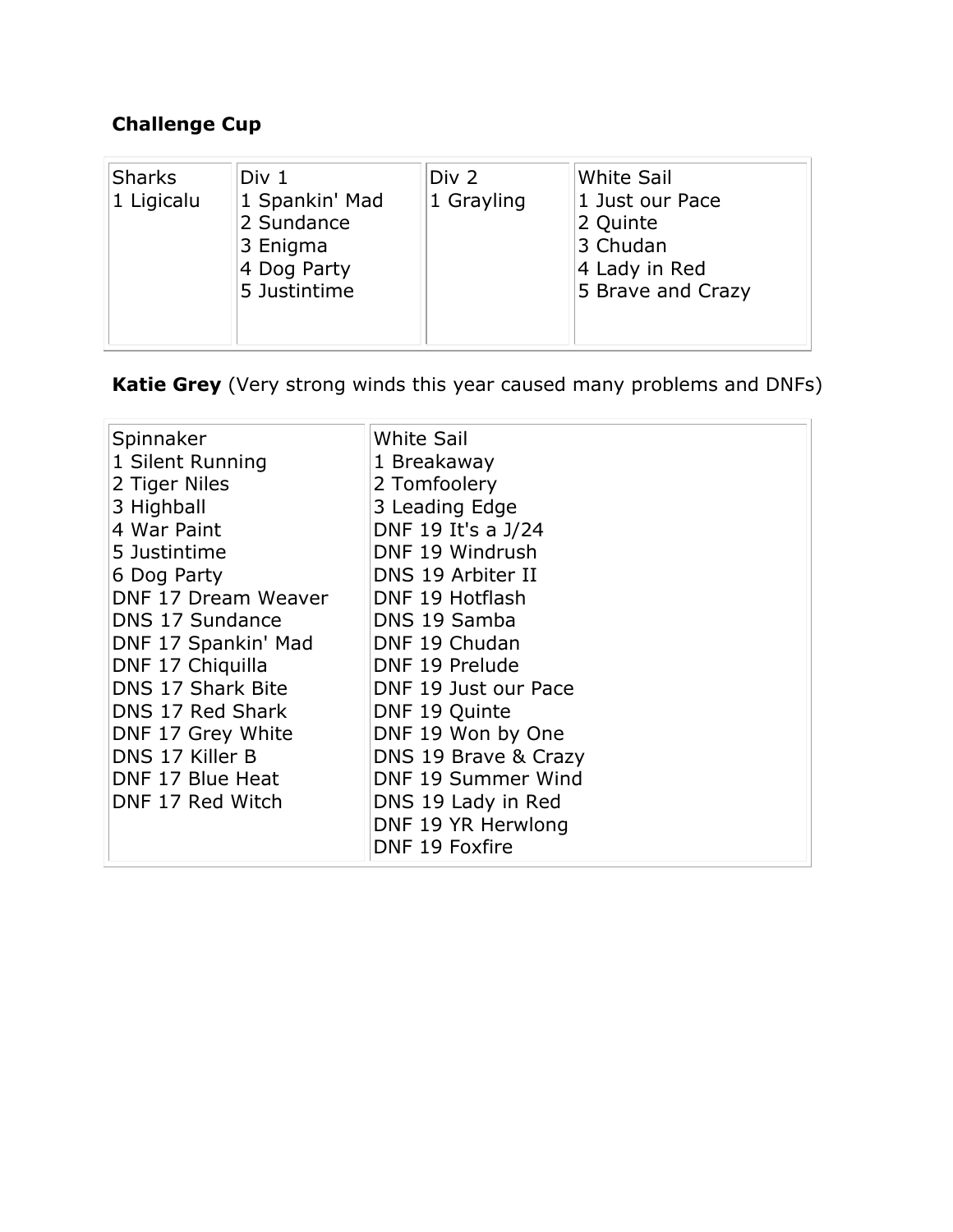# **Challenge Cup**

| <b>Sharks</b><br>1 Ligicalu | Div 1<br>1 Spankin' Mad<br>2 Sundance<br>3 Enigma<br>4 Dog Party<br>5 Justintime | Div 2<br>1 Grayling | <b>White Sail</b><br>1 Just our Pace<br>2 Quinte<br>3 Chudan<br>4 Lady in Red<br>5 Brave and Crazy |
|-----------------------------|----------------------------------------------------------------------------------|---------------------|----------------------------------------------------------------------------------------------------|
|                             |                                                                                  |                     |                                                                                                    |

**Katie Grey** (Very strong winds this year caused many problems and DNFs)

| Spinnaker           | <b>White Sail</b>    |
|---------------------|----------------------|
| 1 Silent Running    | 1 Breakaway          |
| 2 Tiger Niles       | 2 Tomfoolery         |
| 3 Highball          | 3 Leading Edge       |
| 4 War Paint         | DNF 19 It's a J/24   |
| 5 Justintime        | DNF 19 Windrush      |
| 6 Dog Party         | DNS 19 Arbiter II    |
| DNF 17 Dream Weaver | DNF 19 Hotflash      |
| DNS 17 Sundance     | DNS 19 Samba         |
| DNF 17 Spankin' Mad | DNF 19 Chudan        |
| DNF 17 Chiquilla    | DNF 19 Prelude       |
| DNS 17 Shark Bite   | DNF 19 Just our Pace |
| DNS 17 Red Shark    | DNF 19 Quinte        |
| DNF 17 Grey White   | DNF 19 Won by One    |
| DNS 17 Killer B     | DNS 19 Brave & Crazy |
| DNF 17 Blue Heat    | DNF 19 Summer Wind   |
| DNF 17 Red Witch    | DNS 19 Lady in Red   |
|                     | DNF 19 YR Herwlong   |
|                     | DNF 19 Foxfire       |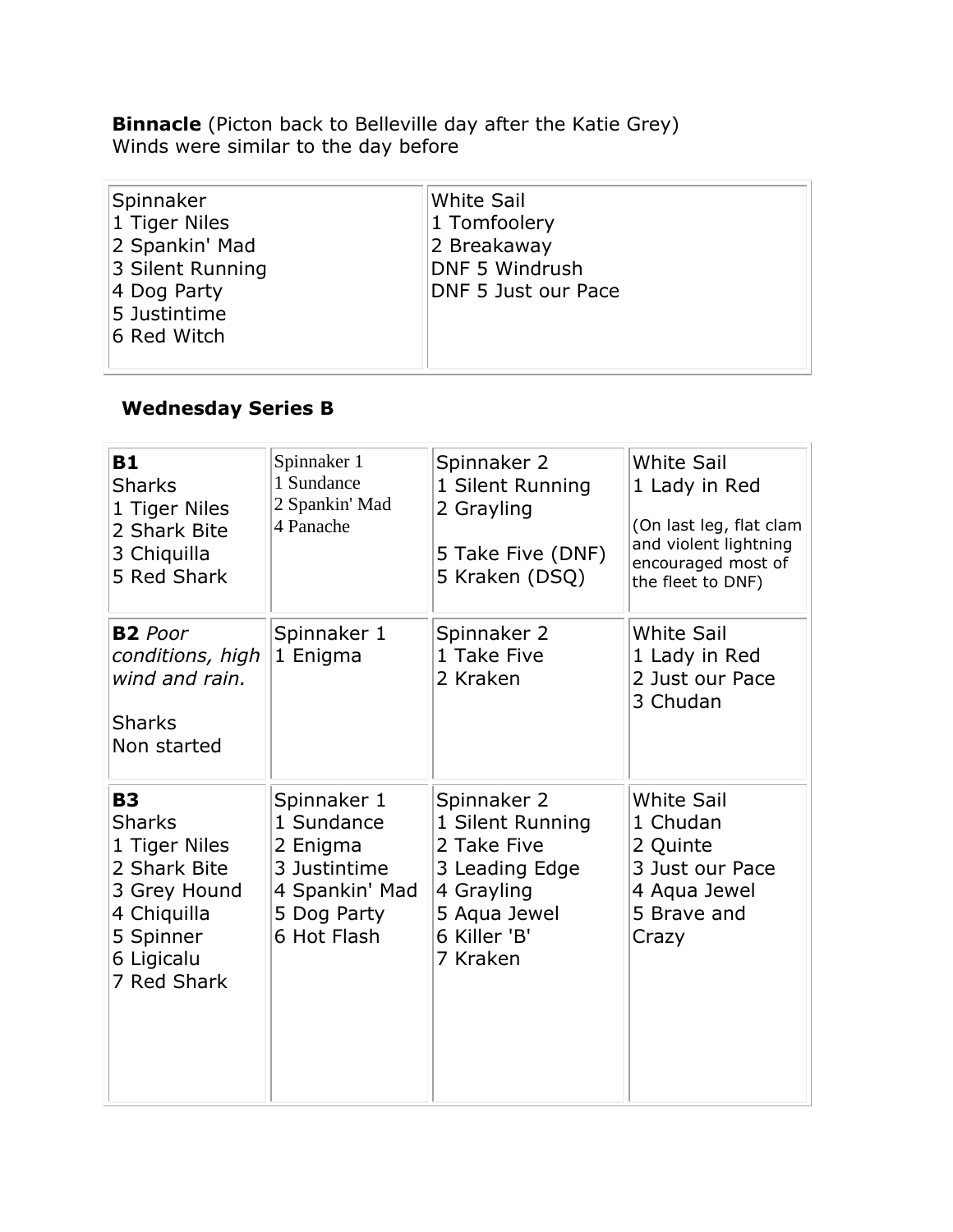**Binnacle** (Picton back to Belleville day after the Katie Grey) Winds were similar to the day before

| Spinnaker<br>1 Tiger Niles<br>2 Spankin' Mad<br>3 Silent Running | White Sail<br>1 Tomfoolery<br>2 Breakaway<br><b>DNF 5 Windrush</b> |
|------------------------------------------------------------------|--------------------------------------------------------------------|
| 4 Dog Party<br>5 Justintime                                      | DNF 5 Just our Pace                                                |
| 6 Red Witch                                                      |                                                                    |

## **Wednesday Series B**

| <b>B1</b><br><b>Sharks</b><br>1 Tiger Niles<br>2 Shark Bite<br>3 Chiquilla<br>5 Red Shark                                            | Spinnaker 1<br>1 Sundance<br>2 Spankin' Mad<br>4 Panache                                              | Spinnaker 2<br>1 Silent Running<br>2 Grayling<br>5 Take Five (DNF)<br>5 Kraken (DSQ)                                       | <b>White Sail</b><br>1 Lady in Red<br>(On last leg, flat clam<br>and violent lightning<br>encouraged most of<br>the fleet to DNF) |
|--------------------------------------------------------------------------------------------------------------------------------------|-------------------------------------------------------------------------------------------------------|----------------------------------------------------------------------------------------------------------------------------|-----------------------------------------------------------------------------------------------------------------------------------|
| <b>B2</b> Poor<br>conditions, high<br>wind and rain.<br><b>Sharks</b><br>Non started                                                 | Spinnaker 1<br>1 Enigma                                                                               | Spinnaker 2<br>1 Take Five<br>2 Kraken                                                                                     | <b>White Sail</b><br>1 Lady in Red<br>2 Just our Pace<br>3 Chudan                                                                 |
| <b>B3</b><br><b>Sharks</b><br>1 Tiger Niles<br>2 Shark Bite<br>3 Grey Hound<br>4 Chiquilla<br>5 Spinner<br>6 Ligicalu<br>7 Red Shark | Spinnaker 1<br>1 Sundance<br>2 Enigma<br>3 Justintime<br>4 Spankin' Mad<br>5 Dog Party<br>6 Hot Flash | Spinnaker 2<br>1 Silent Running<br>2 Take Five<br>3 Leading Edge<br>4 Grayling<br>5 Aqua Jewel<br>6 Killer 'B'<br>7 Kraken | <b>White Sail</b><br>1 Chudan<br>2 Quinte<br>3 Just our Pace<br>4 Aqua Jewel<br>5 Brave and<br>Crazy                              |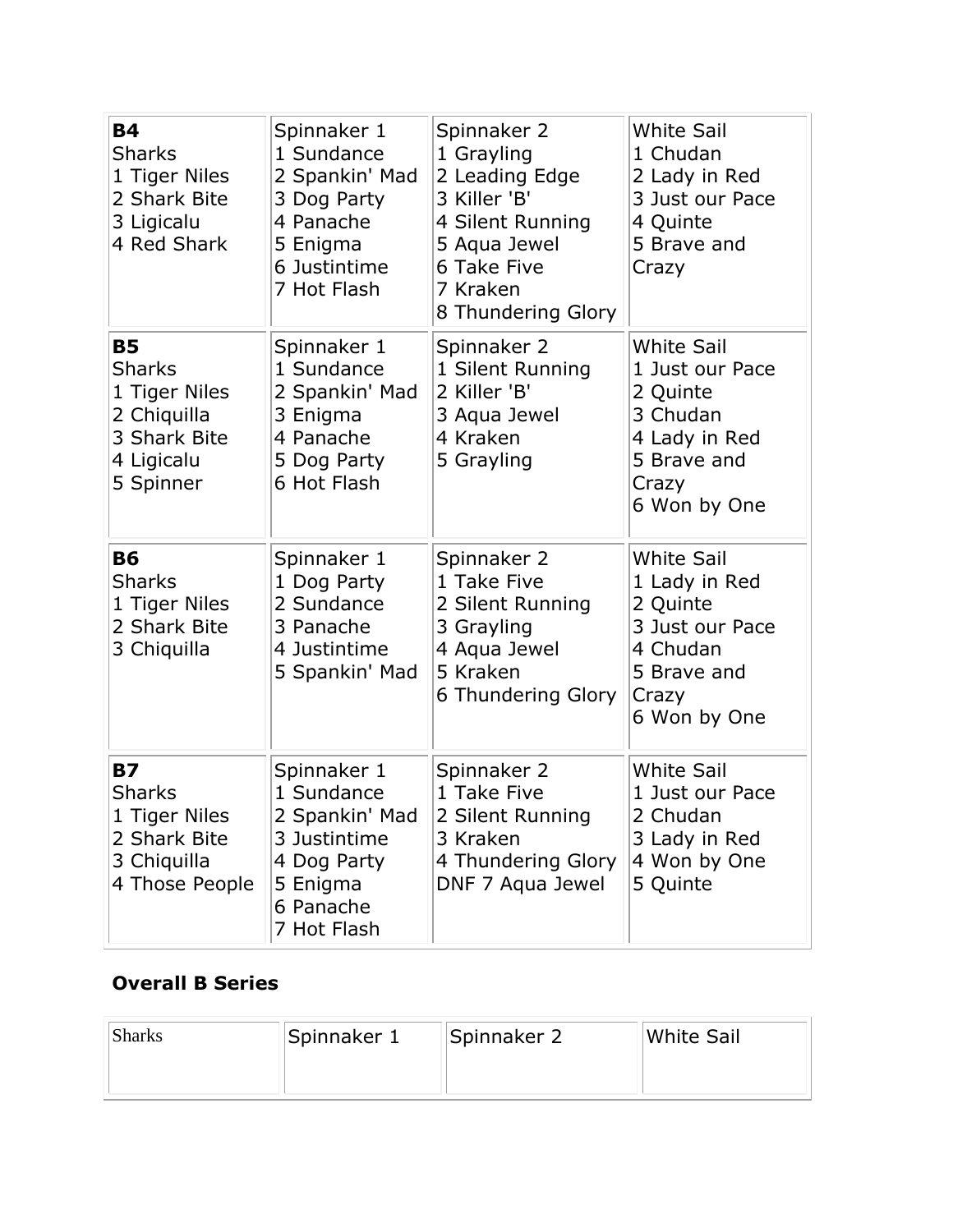| <b>B4</b><br><b>Sharks</b><br>1 Tiger Niles<br>2 Shark Bite<br>3 Ligicalu<br>4 Red Shark              | Spinnaker 1<br>1 Sundance<br>2 Spankin' Mad<br>3 Dog Party<br>4 Panache<br>5 Enigma<br>6 Justintime<br>7 Hot Flash | Spinnaker 2<br>1 Grayling<br>2 Leading Edge<br>3 Killer 'B'<br>4 Silent Running<br>5 Aqua Jewel<br>6 Take Five<br>7 Kraken<br>8 Thundering Glory | <b>White Sail</b><br>1 Chudan<br>2 Lady in Red<br>3 Just our Pace<br>4 Quinte<br>5 Brave and<br>Crazy                 |
|-------------------------------------------------------------------------------------------------------|--------------------------------------------------------------------------------------------------------------------|--------------------------------------------------------------------------------------------------------------------------------------------------|-----------------------------------------------------------------------------------------------------------------------|
| <b>B5</b><br><b>Sharks</b><br>1 Tiger Niles<br>2 Chiquilla<br>3 Shark Bite<br>4 Ligicalu<br>5 Spinner | Spinnaker 1<br>1 Sundance<br>2 Spankin' Mad<br>3 Enigma<br>4 Panache<br>5 Dog Party<br>6 Hot Flash                 | Spinnaker 2<br>1 Silent Running<br>2 Killer 'B'<br>3 Aqua Jewel<br>4 Kraken<br>5 Grayling                                                        | <b>White Sail</b><br>1 Just our Pace<br>2 Quinte<br>3 Chudan<br>4 Lady in Red<br>5 Brave and<br>Crazy<br>6 Won by One |
| <b>B6</b><br><b>Sharks</b><br>1 Tiger Niles<br>2 Shark Bite<br>3 Chiquilla                            | Spinnaker 1<br>1 Dog Party<br>2 Sundance<br>3 Panache<br>4 Justintime<br>5 Spankin' Mad                            | Spinnaker 2<br>1 Take Five<br>2 Silent Running<br>3 Grayling<br>4 Aqua Jewel<br>5 Kraken<br>6 Thundering Glory                                   | <b>White Sail</b><br>1 Lady in Red<br>2 Quinte<br>3 Just our Pace<br>4 Chudan<br>5 Brave and<br>Crazy<br>6 Won by One |
| <b>B7</b><br><b>Sharks</b><br>1 Tiger Niles<br>2 Shark Bite<br>3 Chiquilla<br>4 Those People          | Spinnaker 1<br>1 Sundance<br>2 Spankin' Mad<br>3 Justintime<br>4 Dog Party<br>5 Enigma<br>6 Panache<br>7 Hot Flash | Spinnaker 2<br>1 Take Five<br>2 Silent Running<br>3 Kraken<br>4 Thundering Glory<br>DNF 7 Aqua Jewel                                             | <b>White Sail</b><br>1 Just our Pace<br>2 Chudan<br>3 Lady in Red<br>4 Won by One<br>5 Quinte                         |

## **Overall B Series**

| <b>Sharks</b> | Spinnaker 1 | Spinnaker 2 | White Sail |
|---------------|-------------|-------------|------------|
|               |             |             |            |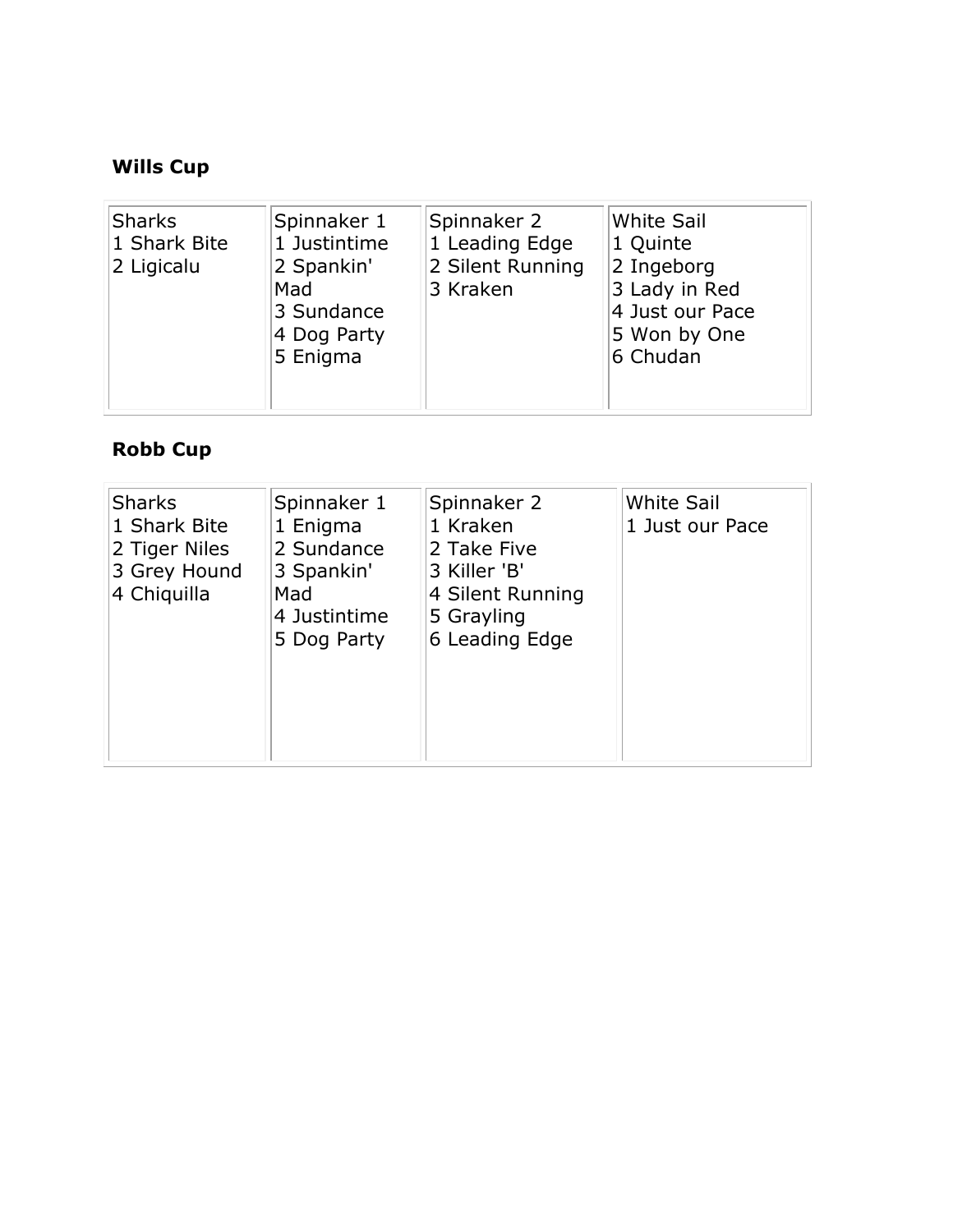# **Wills Cup**

| Sharks<br>Spinnaker 1<br>1 Shark Bite<br>1 Justintime<br>2 Spankin'<br>2 Ligicalu<br>Mad<br>3 Sundance<br>4 Dog Party<br>5 Enigma | Spinnaker 2<br>1 Leading Edge<br>2 Silent Running<br>3 Kraken | <b>White Sail</b><br>1 Quinte<br>2 Ingeborg<br>3 Lady in Red<br>4 Just our Pace<br>5 Won by One<br>6 Chudan |
|-----------------------------------------------------------------------------------------------------------------------------------|---------------------------------------------------------------|-------------------------------------------------------------------------------------------------------------|
|-----------------------------------------------------------------------------------------------------------------------------------|---------------------------------------------------------------|-------------------------------------------------------------------------------------------------------------|

## **Robb Cup**

| <b>Sharks</b><br>1 Shark Bite<br>2 Tiger Niles<br>3 Grey Hound<br>4 Chiquilla | Spinnaker 1<br>1 Enigma<br>2 Sundance<br>3 Spankin'<br>Mad<br>4 Justintime<br>5 Dog Party | Spinnaker 2<br>1 Kraken<br>2 Take Five<br>3 Killer 'B'<br>4 Silent Running<br>5 Grayling<br>6 Leading Edge | <b>White Sail</b><br>1 Just our Pace |
|-------------------------------------------------------------------------------|-------------------------------------------------------------------------------------------|------------------------------------------------------------------------------------------------------------|--------------------------------------|
|-------------------------------------------------------------------------------|-------------------------------------------------------------------------------------------|------------------------------------------------------------------------------------------------------------|--------------------------------------|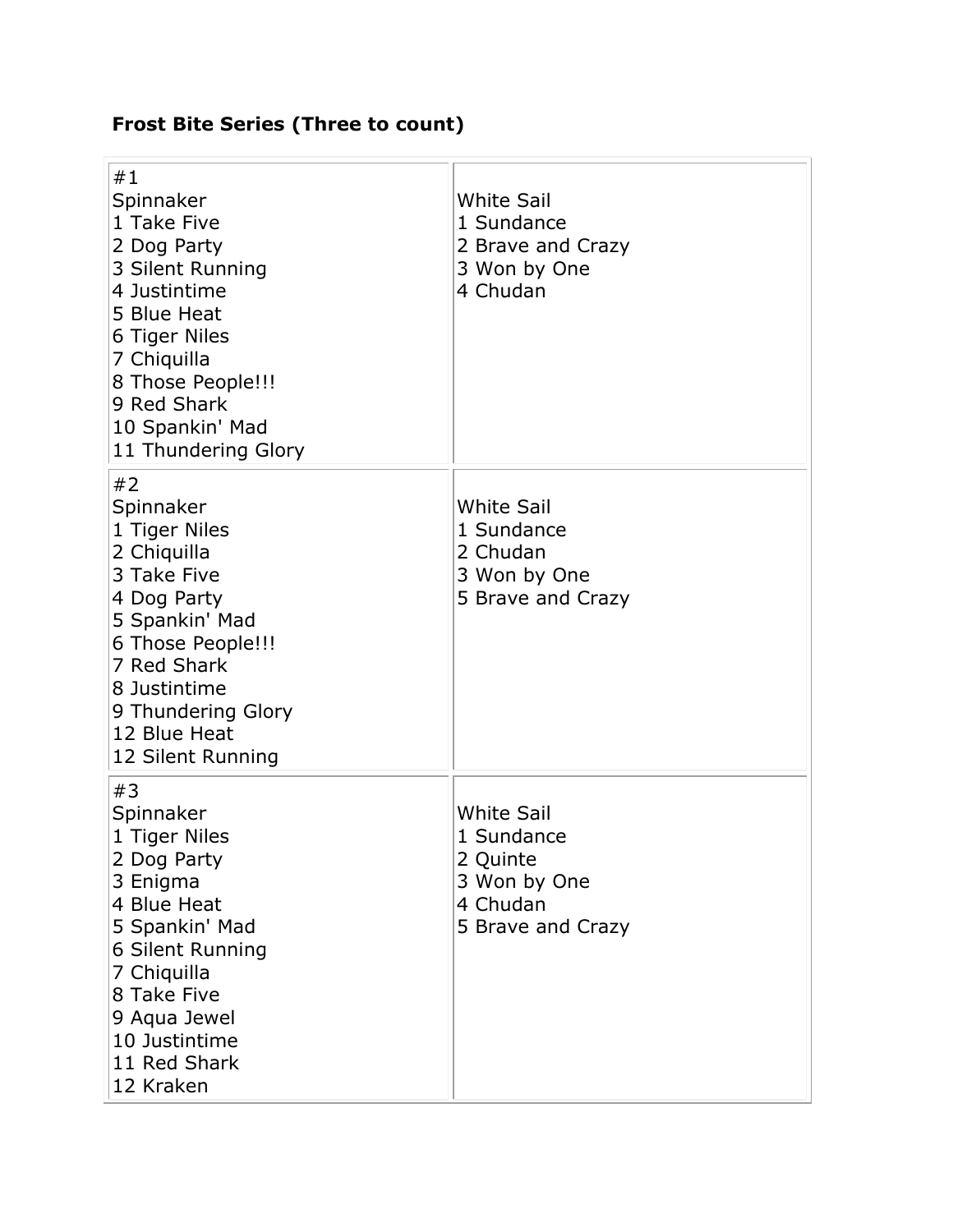# **Frost Bite Series (Three to count)**

| #1<br>Spinnaker<br>1 Take Five<br>2 Dog Party<br>3 Silent Running<br>4 Justintime<br>5 Blue Heat<br>6 Tiger Niles<br>7 Chiquilla<br>8 Those People!!!<br>9 Red Shark<br>10 Spankin' Mad<br>11 Thundering Glory | <b>White Sail</b><br>1 Sundance<br>2 Brave and Crazy<br>3 Won by One<br>4 Chudan             |
|----------------------------------------------------------------------------------------------------------------------------------------------------------------------------------------------------------------|----------------------------------------------------------------------------------------------|
| #2<br>Spinnaker<br>1 Tiger Niles<br>2 Chiquilla<br>3 Take Five<br>4 Dog Party<br>5 Spankin' Mad<br>6 Those People!!!<br>7 Red Shark<br>8 Justintime<br>9 Thundering Glory<br>12 Blue Heat<br>12 Silent Running | <b>White Sail</b><br>1 Sundance<br>2 Chudan<br>3 Won by One<br>5 Brave and Crazy             |
| #3<br>Spinnaker<br>1 Tiger Niles<br>2 Dog Party<br>3 Enigma<br>4 Blue Heat<br>5 Spankin' Mad<br>6 Silent Running<br>7 Chiquilla<br>8 Take Five<br>9 Aqua Jewel<br>10 Justintime<br>11 Red Shark<br>12 Kraken   | <b>White Sail</b><br>1 Sundance<br>2 Quinte<br>3 Won by One<br>4 Chudan<br>5 Brave and Crazy |